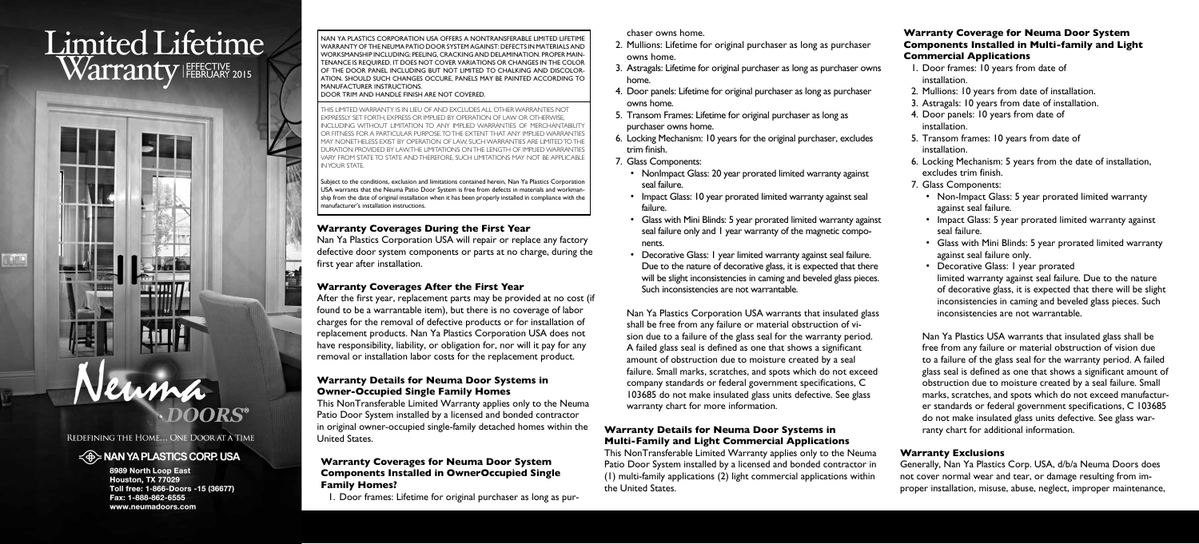# **Limited Lifetime** Warranty FEERUARY 2015

**HOP I** 

REDEFINING THE HOME... ONE DOOR AT A TIME

### $\leq$   $\oplus$  NAN YA PLASTICS CORP. USA

8989 North Loop East Houston, TX 77029 Toll free: 1-866-Doors -15 (36677) Fax: 1-888-862-6555 www.neumadoors.com

#### **Warranty Coverages During the First Year**

Nan Ya Plastics Corporation USA will repair or replace any factory defective door system components or parts at no charge, during the first year after installation.

#### **Warranty Coverages After the First Year**

After the first year, replacement parts may be provided at no cost (if found to be a warrantable item), but there is no coverage of labor charges for the removal of defective products or for installation of replacement products. Nan Ya Plastics Corporation USA does not have responsibility, liability, or obligation for, nor will it pay for any removal or installation labor costs for the replacement product.

#### **Warranty Details for Neuma Door Systems in Owner-Occupied Single Family Homes**

This NonTransferable Limited Warranty applies only to the Neuma Patio Door System installed by a licensed and bonded contractor in original owner-occupied single-family detached homes within the United States.

#### **Warranty Coverages for Neuma Door System Components Installed in OwnerOccupied Single Family Homes?**

1. Door frames: Lifetime for original purchaser as long as pur-

chaser owns home.

- 2. Mullions: Lifetime for original purchaser as long as purchaser owns home.
- 3. Astragals: Lifetime for original purchaser as long as purchaser owns home.
- 4. Door panels: Lifetime for original purchaser as long as purchaser owns home.
- 5. Transom Frames: Lifetime for original purchaser as long as purchaser owns home.
- 6. Locking Mechanism: 10 years for the original purchaser, excludes trim finish.
- 7. Glass Components:
	- NonImpact Glass: 20 year prorated limited warranty against seal failure.
	- failure.
	- nents.
	- Decorative Glass: 1 year limited warranty against seal failure. Due to the nature of decorative glass, it is expected that there will be slight inconsistencies in caming and beveled glass pieces. Such inconsistencies are not warrantable.
- Impact Glass: 10 year prorated limited warranty against seal
- Glass with Mini Blinds: 5 year prorated limited warranty against seal failure only and 1 year warranty of the magnetic compo-

Nan Ya Plastics Corporation USA warrants that insulated glass shall be free from any failure or material obstruction of vision due to a failure of the glass seal for the warranty period. A failed glass seal is defined as one that shows a significant failure. Small marks, scratches, and spots which do not exceed company standards or federal government specifications, C 103685 do not make insulated glass units defective. See glass

amount of obstruction due to moisture created by a seal warranty chart for more information.

## **Warranty Details for Neuma Door Systems in Multi-Family and Light Commercial Applications**

This NonTransferable Limited Warranty applies only to the Neuma Patio Door System installed by a licensed and bonded contractor in (1) multi-family applications (2) light commercial applications within the United States.

#### **Warranty Coverage for Neuma Door System Components Installed in Multi-family and Light Commercial Applications**

- 1. Door frames: 10 years from date of installation.
- 2. Mullions: 10 years from date of installation.
- 3. Astragals: 10 years from date of installation.
- 4. Door panels: 10 years from date of installation.
- 5. Transom frames: 10 years from date of installation.
- 6. Locking Mechanism: 5 years from the date of installation, excludes trim finish.
- 7. Glass Components:
	- Non-Impact Glass: 5 year prorated limited warranty against seal failure.
	- Impact Glass: 5 year prorated limited warranty against seal failure.
	- Glass with Mini Blinds: 5 year prorated limited warranty against seal failure only.
	- Decorative Glass: I year prorated limited warranty against seal failure. Due to the nature of decorative glass, it is expected that there will be slight inconsistencies in caming and beveled glass pieces. Such inconsistencies are not warrantable.

Nan Ya Plastics USA warrants that insulated glass shall be free from any failure or material obstruction of vision due to a failure of the glass seal for the warranty period. A failed glass seal is defined as one that shows a significant amount of obstruction due to moisture created by a seal failure. Small marks, scratches, and spots which do not exceed manufacturer standards or federal government specifications, C 103685 do not make insulated glass units defective. See glass warranty chart for additional information.

#### **Warranty Exclusions**

Generally, Nan Ya Plastics Corp. USA, d/b/a Neuma Doors does not cover normal wear and tear, or damage resulting from improper installation, misuse, abuse, neglect, improper maintenance,

NAN YA PLASTICS CORPORATION USA OFFERS A NONTRANSFERABLE LIMITED LIFETIME WARRANTY OF THE NEUMA PATIO DOOR SYSTEM AGAINST: DEFECTS IN MATERIALS AND WORKSMANSHIP INCLUDING; PEELING, CRACKING AND DELAMINATION. PROPER MAIN-TENANCE IS REQUIRED. IT DOES NOT COVER VARIATIONS OR CHANGES IN THE COLOR OF THE DOOR PANEL INCLUDING BUT NOT LIMITED TO CHALKING AND DISCOLOR-ATION. SHOULD SUCH CHANGES OCCURE, PANELS MAY BE PAINTED ACCORDING TO MANUFACTURER INSTRUCTIONS.

DOOR TRIM AND HANDLE FINISH ARE NOT COVERED.

THIS LIMITED WARRANTY IS IN LIEU OF AND EXCLUDES ALL OTHER WARRANTIES NOT EXPRESSLY SET FORTH, EXPRESS OR IMPLIED BY OPERATION OF LAW OR OTHERWISE, INCLUDING WITHOUT LIMITATION TO ANY IMPLIED WARRANTIES OF MERCHANTABILITY OR FITNESS FOR A PARTICULAR PURPOSE. TO THE EXTENT THAT ANY IMPLIED WARRANTIES MAY NONETHELESS EXIST BY OPERATION OF LAW, SUCH WARRANTIES ARE LIMITED TO THE DURATION PROVIDED BY LAW. THE LIMITATIONS ON THE LENGTH OF IMPLIED WARRANTIES VARY FROM STATE TO STATE AND THEREFORE, SUCH LIMITATIONS MAY NOT BE APPLICABLE IN YOUR STATE.

Subject to the conditions, exclusion and limitations contained herein, Nan Ya Plastics Corporation USA warrants that the Neuma Patio Door System is free from defects in materials and workmanship from the date of original installation when it has been properly installed in compliance with the manufacturer's installation instructions.